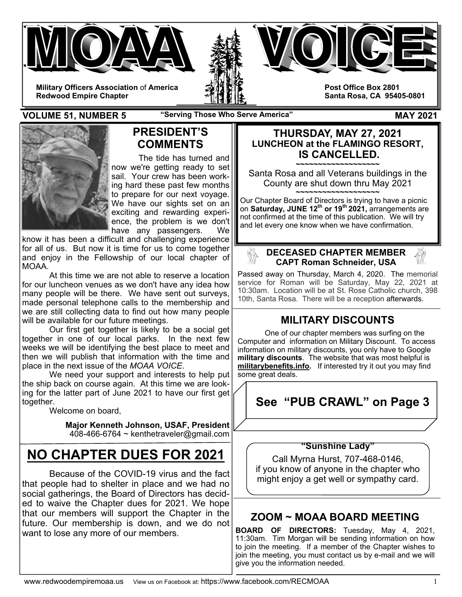



**Military Officers Association** of **America Redwood Empire Chapter** 

**Post Office Box 2801 Santa Rosa, CA 95405-0801** 

**VOLUME 51, NUMBER 5** "Serving Those Who Serve America" MAY 2021



# **PRESIDENT'S COMMENTS**

The tide has turned and now we're getting ready to set sail. Your crew has been working hard these past few months to prepare for our next voyage. We have our sights set on an exciting and rewarding experience, the problem is we don't have any passengers. We

know it has been a difficult and challenging experience for all of us. But now it is time for us to come together and enjoy in the Fellowship of our local chapter of MOAA.

 At this time we are not able to reserve a location for our luncheon venues as we don't have any idea how many people will be there. We have sent out surveys, made personal telephone calls to the membership and we are still collecting data to find out how many people will be available for our future meetings.

 Our first get together is likely to be a social get together in one of our local parks. In the next few weeks we will be identifying the best place to meet and then we will publish that information with the time and place in the next issue of the *MOAA VOICE*.

 We need your support and interests to help put the ship back on course again. At this time we are looking for the latter part of June 2021 to have our first get together.

Welcome on board,

**Major Kenneth Johnson, USAF, President**  408-466-6764 ~ kenthetraveler@gmail.com

# **NO CHAPTER DUES FOR 2021**

 Because of the COVID-19 virus and the fact that people had to shelter in place and we had no social gatherings, the Board of Directors has decided to waive the Chapter dues for 2021. We hope that our members will support the Chapter in the future. Our membership is down, and we do not want to lose any more of our members.

## **THURSDAY, MAY 27, 2021 LUNCHEON at the FLAMINGO RESORT, IS CANCELLED.**

**~~~~~~~~~~~~~~~~~~~**  Santa Rosa and all Veterans buildings in the County are shut down thru May 2021

**~~~~~~~~~~~~~~~~~~~**  Our Chapter Board of Directors is trying to have a picnic on **Saturday, JUNE 12<sup>th</sup> or 19<sup>th</sup> 2021**, arrangements are not confirmed at the time of this publication. We will try and let every one know when we have confirmation.

### **DECEASED CHAPTER MEMBER CAPT Roman Schneider, USA**

Passed away on Thursday, March 4, 2020. The memorial service for Roman will be Saturday, May 22, 2021 at 10:30am. Location will be at St. Rose Catholic church, 398 10th, Santa Rosa. There will be a reception afterwards.

# **MILITARY DISCOUNTS**

 One of our chapter members was surfing on the Computer and information on Military Discount. To access information on military discounts, you only have to Google **military discounts**. The website that was most helpful is **militarybenefits.info.** If interested try it out you may find some great deals.

# **See "PUB CRAWL" on Page 3**

### **"Sunshine Lady"**

Call Myrna Hurst, 707-468-0146, if you know of anyone in the chapter who might enjoy a get well or sympathy card.

# **ZOOM ~ MOAA BOARD MEETING**

**BOARD OF DIRECTORS:** Tuesday, May 4, 2021, 11:30am. Tim Morgan will be sending information on how to join the meeting. If a member of the Chapter wishes to join the meeting, you must contact us by e-mail and we will give you the information needed.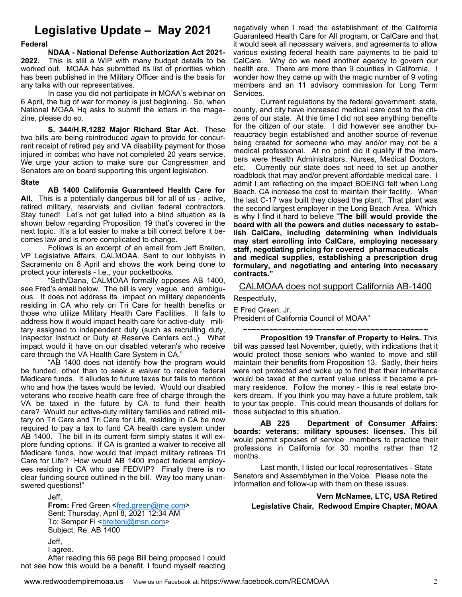# **Legislative Update – May 2021**

### **Federal**

 **NDAA - National Defense Authorization Act 2021- 2022.** This is still a WIP with many budget details to be worked out. MOAA has submitted its list of priorities which has been published in the Military Officer and is the basis for any talks with our representatives.

 In case you did not participate in MOAA's webinar on 6 April, the tug of war for money is just beginning. So, when National MOAA Hq asks to submit the letters in the magazine, please do so.

**S. 344/H.R.1282 Major Richard Star Act**. These two bills are being reintroduced *again* to provide for concurrent receipt of retired pay and VA disability payment for those injured in combat who have not completed 20 years service. We urge your action to make sure our Congressmen and Senators are on board supporting this urgent legislation.

### **State**

**AB 1400 California Guaranteed Health Care for All.** This is a potentially dangerous bill for all of us - active, retired military, reservists and civilian federal contractors. Stay tuned! Let's not get lulled into a blind situation as is shown below regarding Proposition 19 that's covered in the next topic. It's a lot easier to make a bill correct before it becomes law and is more complicated to change.

 Follows is an excerpt of an email from Jeff Breiten, VP Legislative Affairs, CALMOAA. Sent to our lobbyists in Sacramento on 8 April and shows the work being done to protect your interests - I.e., your pocketbooks.

 "Seth/Dana, CALMOAA formally opposes AB 1400, see Fred's email below. The bill is very vague and ambiguous. It does not address its impact on military dependents residing in CA who rely on Tri Care for health benefits or those who utilize Military Health Care Facilities. It fails to address how it would impact health care for active-duty military assigned to independent duty (such as recruiting duty, Inspector Instruct or Duty at Reserve Centers ect.,). What impact would it have on our disabled veteran's who receive care through the VA Health Care System in CA."

"AB 1400 does not identify how the program would be funded, other than to seek a waiver to receive federal Medicare funds. It alludes to future taxes but fails to mention who and how the taxes would be levied. Would our disabled veterans who receive health care free of charge through the VA be taxed in the future by CA to fund their health care? Would our active-duty military families and retired military on Tri Care and Tri Care for Life, residing in CA be now required to pay a tax to fund CA health care system under AB 1400. The bill in its current form simply states it will explore funding options. If CA is granted a waiver to receive all Medicare funds, how would that impact military retirees Tri Care for Life? How would AB 1400 impact federal employees residing in CA who use FEDVIP? Finally there is no clear funding source outlined in the bill. Way too many unanswered questions!"

 Jeff, **From:** Fred Green <fred.green@me.com> Sent: Thursday, April 8, 2021 12:34 AM To: Semper Fi <br />
<br />
<u><br />
Longing Comptom</u>> Subject: Re: AB 1400 Jeff, I agree. After reading this 66 page Bill being proposed I could not see how this would be a benefit. I found myself reacting

negatively when I read the establishment of the California Guaranteed Health Care for All program, or CalCare and that it would seek all necessary waivers, and agreements to allow various existing federal health care payments to be paid to CalCare. Why do we need another agency to govern our health are. There are more than 9 counties in California. I wonder how they came up with the magic number of 9 voting members and an 11 advisory commission for Long Term Services.

 Current regulations by the federal government, state, county, and city have increased medical care cost to the citizens of our state. At this time I did not see anything benefits for the citizen of our state. I did however see another bureaucracy begin established and another source of revenue being created for someone who may and/or may not be a medical professional. At no point did it qualify if the members were Health Administrators, Nurses, Medical Doctors, etc. Currently our state does not need to set up another roadblock that may and/or prevent affordable medical care. I admit I am reflecting on the impact BOEING felt when Long Beach, CA increase the cost to maintain their facility. When the last C-17 was built they closed the plant. That plant was the second largest employer in the Long Beach Area. Which is why I find it hard to believe "**The bill would provide the board with all the powers and duties necessary to establish CalCare, including determining when individuals may start enrolling into CalCare, employing necessary staff, negotiating pricing for covered pharmaceuticals and medical supplies, establishing a prescription drug formulary, and negotiating and entering into necessary contracts."**

### CALMOAA does not support California AB-1400

Respectfully,

E Fred Green, Jr. President of California Council of MOAA"

**~~~~~~~~~~~~~~~~~~~~~~~~~~~~~~~~~~~~~~~~~~ Proposition 19 Transfer of Property to Heirs.** This bill was passed last November, quietly, with indications that it would protect those seniors who wanted to move and still maintain their benefits from Proposition 13. Sadly, their heirs were not protected and woke up to find that their inheritance would be taxed at the current value unless it became a primary residence. Follow the money - this is real estate brokers dream. If you think you may have a future problem, talk to your tax people. This could mean thousands of dollars for those subjected to this situation.

 **AB 225 Department of Consumer Affairs: boards: veterans: military spouses: licenses.** This bill would permit spouses of service members to practice their professions in California for 30 months rather than 12 months.

 Last month, I listed our local representatives - State Senators and Assemblymen in the Voice. Please note the information and follow-up with them on these issues.

**Vern McNamee, LTC, USA Retired Legislative Chair, Redwood Empire Chapter, MOAA**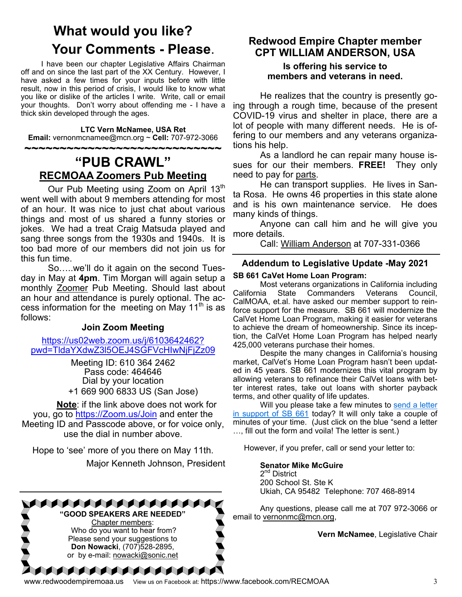# **What would you like? Your Comments - Please.**<br>I have been our chapter Legislative Affairs Chairman

off and on since the last part of the XX Century. However, I have asked a few times for your inputs before with little result, now in this period of crisis, I would like to know what you like or dislike of the articles I write. Write, call or email your thoughts. Don't worry about offending me - I have a thick skin developed through the ages.

### **LTC Vern McNamee, USA Ret**

**Email:** vernonmcnamee@mcn.org ~ **Cell:** 707-972-3066

# **~~~~~~~~~~~~~~~~~~~~~~~~~~~~ "PUB CRAWL" RECMOAA Zoomers Pub Meeting**

Our Pub Meeting using Zoom on April 13<sup>th</sup> went well with about 9 members attending for most of an hour. It was nice to just chat about various things and most of us shared a funny stories or jokes. We had a treat Craig Matsuda played and sang three songs from the 1930s and 1940s. It is too bad more of our members did not join us for this fun time.

 So…..we'll do it again on the second Tuesday in May at **4pm**. Tim Morgan will again setup a monthly Zoomer Pub Meeting. Should last about an hour and attendance is purely optional. The access information for the meeting on May  $11<sup>th</sup>$  is as follows:

### **Join Zoom Meeting**

https://us02web.zoom.us/j/6103642462? pwd=TldaYXdwZ3l5OEJ4SGFVcHIwNjFjZz09

> Meeting ID: 610 364 2462 Pass code: 464646 Dial by your location +1 669 900 6833 US (San Jose)

**Note**: if the link above does not work for you, go to https://Zoom.us/Join and enter the Meeting ID and Passcode above, or for voice only, use the dial in number above.

Hope to 'see' more of you there on May 11th. Major Kenneth Johnson, President



Chapter members: Who do you want to hear from? Please send your suggestions to **Don Nowacki**, (707)528-2895, or by e-mail: nowacki@sonic.net

**AAAAAAAAAAAAA** 

## **Redwood Empire Chapter member CPT WILLIAM ANDERSON, USA**

### **Is offering his service to members and veterans in need.**

 He realizes that the country is presently going through a rough time, because of the present COVID-19 virus and shelter in place, there are a lot of people with many different needs. He is offering to our members and any veterans organizations his help.

 As a landlord he can repair many house issues for our their members. **FREE!** They only need to pay for parts.

 He can transport supplies. He lives in Santa Rosa. He owns 46 properties in this state alone and is his own maintenance service. He does many kinds of things.

 Anyone can call him and he will give you more details.

Call: William Anderson at 707-331-0366

### **Addendum to Legislative Update -May 2021**

### **SB 661 CaVet Home Loan Program:**

 Most veterans organizations in California including California State Commanders Veterans Council, CalMOAA, et.al. have asked our member support to reinforce support for the measure. SB 661 will modernize the CalVet Home Loan Program, making it easier for veterans to achieve the dream of homeownership. Since its inception, the CalVet Home Loan Program has helped nearly 425,000 veterans purchase their homes.

 Despite the many changes in California's housing market, CalVet's Home Loan Program hasn't been updated in 45 years. SB 661 modernizes this vital program by allowing veterans to refinance their CalVet loans with better interest rates, take out loans with shorter payback terms, and other quality of life updates.

Will you please take a few minutes to send a letter in support of SB 661 today? It will only take a couple of minutes of your time. (Just click on the blue "send a letter …, fill out the form and voila! The letter is sent.)

However, if you prefer, call or send your letter to:

### **Senator Mike McGuire**

2<sup>nd</sup> District 200 School St. Ste K Ukiah, CA 95482 Telephone: 707 468-8914

 Any questions, please call me at 707 972-3066 or email to vernonmc@mcn.org,

**Vern McNamee**, Legislative Chair